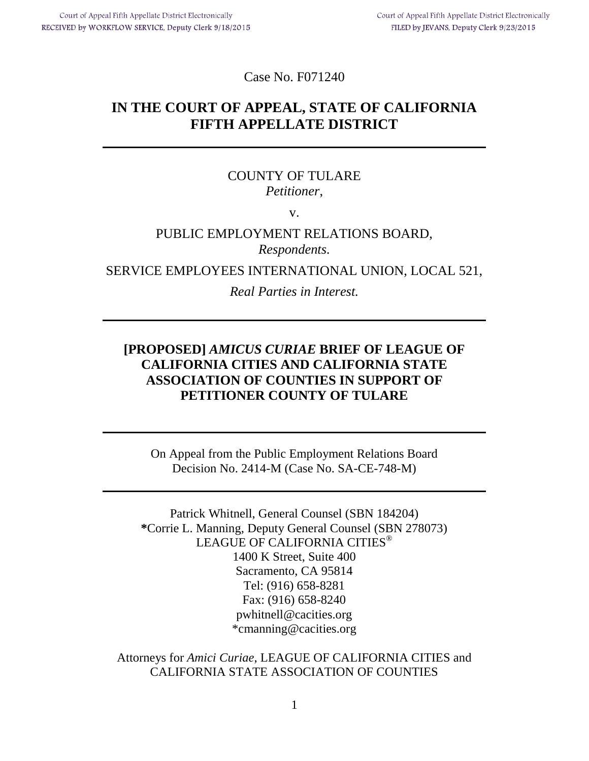Case No. F071240

# **IN THE COURT OF APPEAL, STATE OF CALIFORNIA FIFTH APPELLATE DISTRICT**

## COUNTY OF TULARE *Petitioner*,

v.

## PUBLIC EMPLOYMENT RELATIONS BOARD, *Respondents.*

SERVICE EMPLOYEES INTERNATIONAL UNION, LOCAL 521,

*Real Parties in Interest.*

## **[PROPOSED]** *AMICUS CURIAE* **BRIEF OF LEAGUE OF CALIFORNIA CITIES AND CALIFORNIA STATE ASSOCIATION OF COUNTIES IN SUPPORT OF PETITIONER COUNTY OF TULARE**

On Appeal from the Public Employment Relations Board Decision No. 2414-M (Case No. SA-CE-748-M)

Patrick Whitnell, General Counsel (SBN 184204) **\***Corrie L. Manning, Deputy General Counsel (SBN 278073) LEAGUE OF CALIFORNIA CITIES<sup>®</sup> 1400 K Street, Suite 400 Sacramento, CA 95814 Tel: (916) 658-8281 Fax: (916) 658-8240 pwhitnell@cacities.org \*cmanning@cacities.org

Attorneys for *Amici Curiae*, LEAGUE OF CALIFORNIA CITIES and CALIFORNIA STATE ASSOCIATION OF COUNTIES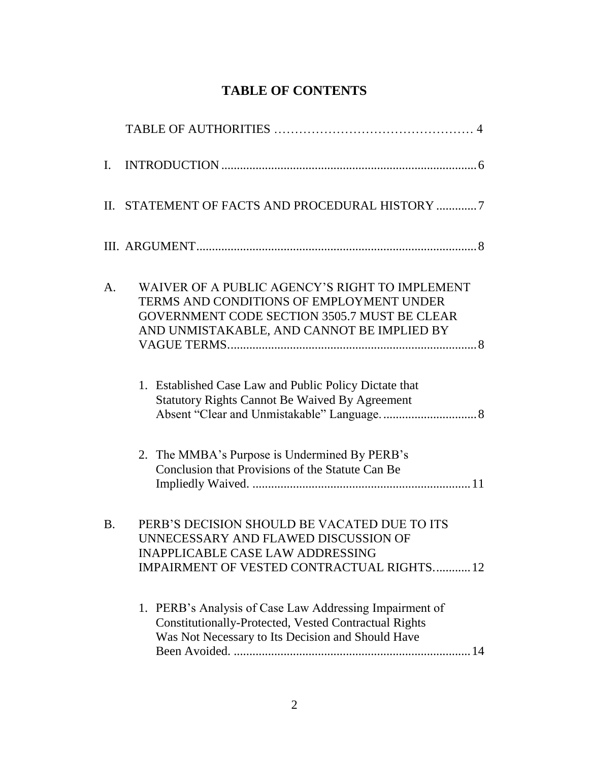# **TABLE OF CONTENTS**

| $\mathbf{I}$ . |                                                                                                                                                                                          |
|----------------|------------------------------------------------------------------------------------------------------------------------------------------------------------------------------------------|
|                | II. STATEMENT OF FACTS AND PROCEDURAL HISTORY 7                                                                                                                                          |
|                |                                                                                                                                                                                          |
| A.             | WAIVER OF A PUBLIC AGENCY'S RIGHT TO IMPLEMENT<br>TERMS AND CONDITIONS OF EMPLOYMENT UNDER<br>GOVERNMENT CODE SECTION 3505.7 MUST BE CLEAR<br>AND UNMISTAKABLE, AND CANNOT BE IMPLIED BY |
|                | 1. Established Case Law and Public Policy Dictate that<br><b>Statutory Rights Cannot Be Waived By Agreement</b>                                                                          |
|                | 2. The MMBA's Purpose is Undermined By PERB's<br>Conclusion that Provisions of the Statute Can Be                                                                                        |
| <b>B.</b>      | PERB'S DECISION SHOULD BE VACATED DUE TO ITS<br>UNNECESSARY AND FLAWED DISCUSSION OF<br><b>INAPPLICABLE CASE LAW ADDRESSING</b><br><b>IMPAIRMENT OF VESTED CONTRACTUAL RIGHTS12</b>      |
|                | 1. PERB's Analysis of Case Law Addressing Impairment of<br>Constitutionally-Protected, Vested Contractual Rights<br>Was Not Necessary to Its Decision and Should Have                    |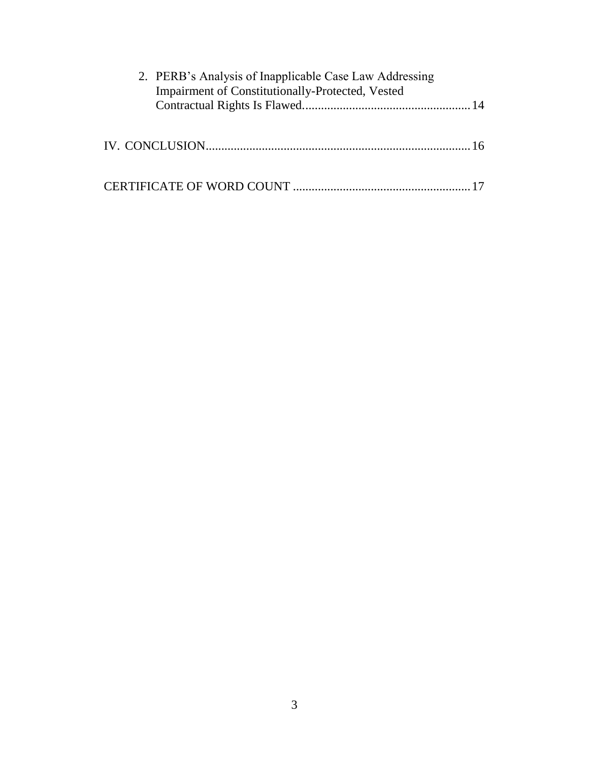| 2. PERB's Analysis of Inapplicable Case Law Addressing<br>Impairment of Constitutionally-Protected, Vested |  |
|------------------------------------------------------------------------------------------------------------|--|
|                                                                                                            |  |
|                                                                                                            |  |
|                                                                                                            |  |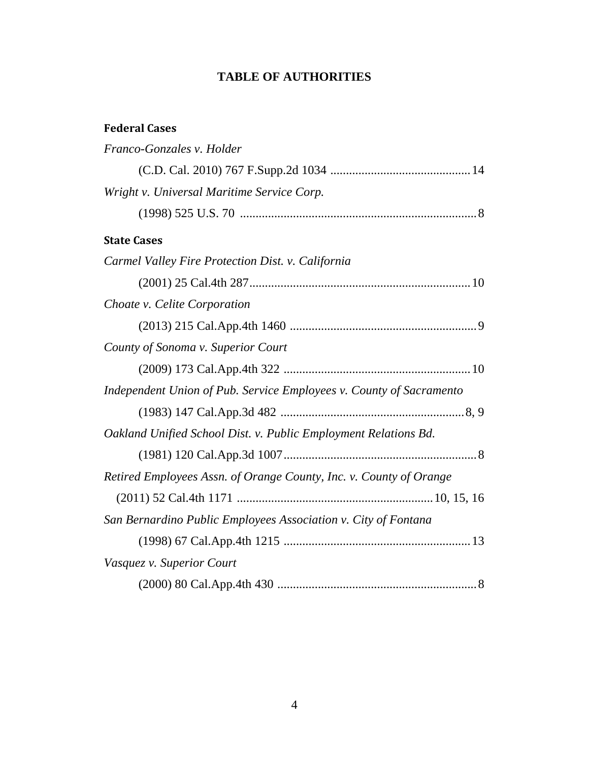## **TABLE OF AUTHORITIES**

## **Federal Cases**

| Franco-Gonzales v. Holder                                           |
|---------------------------------------------------------------------|
|                                                                     |
| Wright v. Universal Maritime Service Corp.                          |
|                                                                     |
| <b>State Cases</b>                                                  |
| Carmel Valley Fire Protection Dist. v. California                   |
|                                                                     |
| Choate v. Celite Corporation                                        |
|                                                                     |
| County of Sonoma v. Superior Court                                  |
|                                                                     |
| Independent Union of Pub. Service Employees v. County of Sacramento |
|                                                                     |
| Oakland Unified School Dist. v. Public Employment Relations Bd.     |
|                                                                     |
| Retired Employees Assn. of Orange County, Inc. v. County of Orange  |
|                                                                     |
| San Bernardino Public Employees Association v. City of Fontana      |
|                                                                     |
| Vasquez v. Superior Court                                           |
|                                                                     |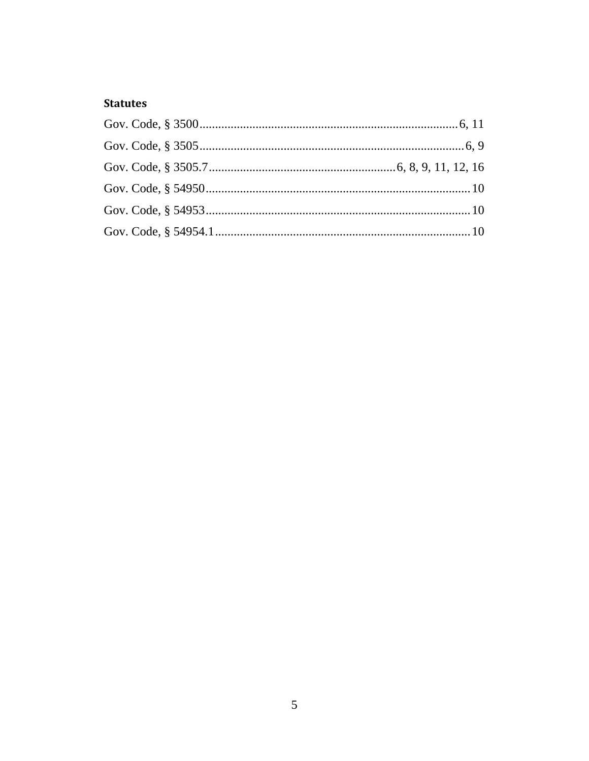## **Statutes**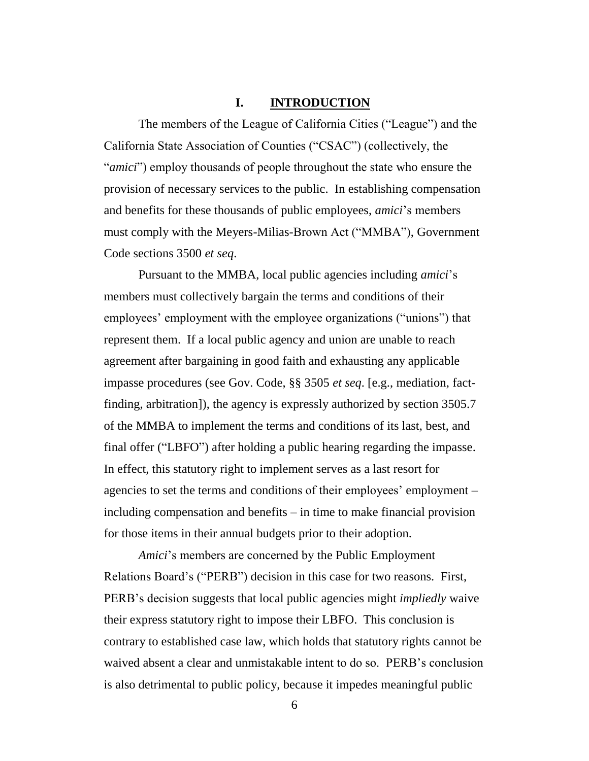#### **I. INTRODUCTION**

<span id="page-5-0"></span>The members of the League of California Cities ("League") and the California State Association of Counties ("CSAC") (collectively, the "*amici*") employ thousands of people throughout the state who ensure the provision of necessary services to the public. In establishing compensation and benefits for these thousands of public employees, *amici*'s members must comply with the Meyers-Milias-Brown Act ("MMBA"), Government Code sections 3500 *et seq*.

Pursuant to the MMBA, local public agencies including *amici*'s members must collectively bargain the terms and conditions of their employees' employment with the employee organizations ("unions") that represent them. If a local public agency and union are unable to reach agreement after bargaining in good faith and exhausting any applicable impasse procedures (see Gov. Code, §§ 3505 *et seq*. [e.g., mediation, factfinding, arbitration]), the agency is expressly authorized by section 3505.7 of the MMBA to implement the terms and conditions of its last, best, and final offer ("LBFO") after holding a public hearing regarding the impasse. In effect, this statutory right to implement serves as a last resort for agencies to set the terms and conditions of their employees' employment – including compensation and benefits – in time to make financial provision for those items in their annual budgets prior to their adoption.

*Amici*'s members are concerned by the Public Employment Relations Board's ("PERB") decision in this case for two reasons. First, PERB's decision suggests that local public agencies might *impliedly* waive their express statutory right to impose their LBFO. This conclusion is contrary to established case law, which holds that statutory rights cannot be waived absent a clear and unmistakable intent to do so. PERB's conclusion is also detrimental to public policy, because it impedes meaningful public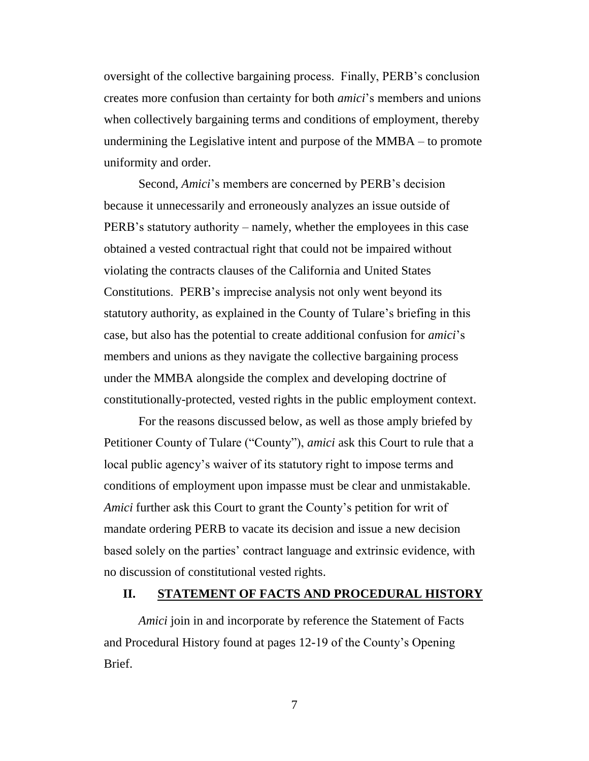oversight of the collective bargaining process. Finally, PERB's conclusion creates more confusion than certainty for both *amici*'s members and unions when collectively bargaining terms and conditions of employment, thereby undermining the Legislative intent and purpose of the MMBA – to promote uniformity and order.

Second, *Amici*'s members are concerned by PERB's decision because it unnecessarily and erroneously analyzes an issue outside of PERB's statutory authority – namely, whether the employees in this case obtained a vested contractual right that could not be impaired without violating the contracts clauses of the California and United States Constitutions. PERB's imprecise analysis not only went beyond its statutory authority, as explained in the County of Tulare's briefing in this case, but also has the potential to create additional confusion for *amici*'s members and unions as they navigate the collective bargaining process under the MMBA alongside the complex and developing doctrine of constitutionally-protected, vested rights in the public employment context.

For the reasons discussed below, as well as those amply briefed by Petitioner County of Tulare ("County"), *amici* ask this Court to rule that a local public agency's waiver of its statutory right to impose terms and conditions of employment upon impasse must be clear and unmistakable. *Amici* further ask this Court to grant the County's petition for writ of mandate ordering PERB to vacate its decision and issue a new decision based solely on the parties' contract language and extrinsic evidence, with no discussion of constitutional vested rights.

#### <span id="page-6-0"></span>**II. STATEMENT OF FACTS AND PROCEDURAL HISTORY**

*Amici* join in and incorporate by reference the Statement of Facts and Procedural History found at pages 12-19 of the County's Opening Brief.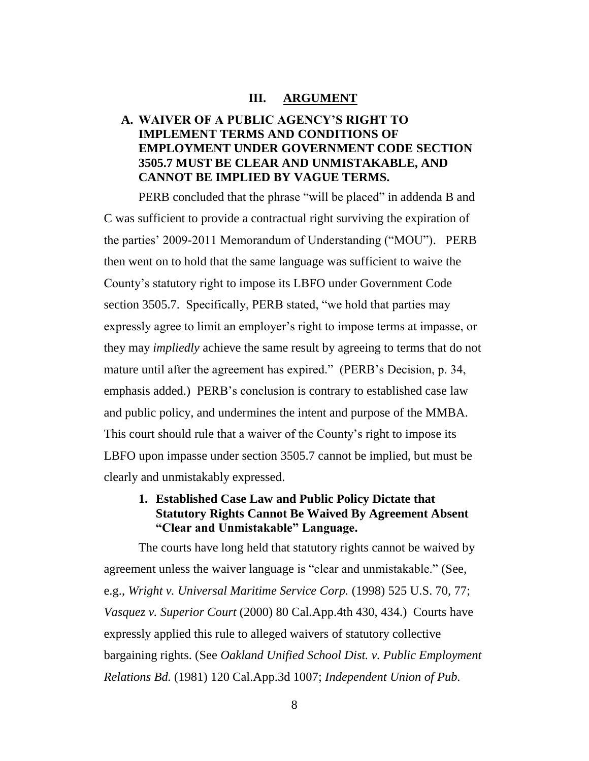#### **III. ARGUMENT**

## <span id="page-7-1"></span><span id="page-7-0"></span>**A. WAIVER OF A PUBLIC AGENCY'S RIGHT TO IMPLEMENT TERMS AND CONDITIONS OF EMPLOYMENT UNDER GOVERNMENT CODE SECTION 3505.7 MUST BE CLEAR AND UNMISTAKABLE, AND CANNOT BE IMPLIED BY VAGUE TERMS.**

PERB concluded that the phrase "will be placed" in addenda B and C was sufficient to provide a contractual right surviving the expiration of the parties' 2009-2011 Memorandum of Understanding ("MOU"). PERB then went on to hold that the same language was sufficient to waive the County's statutory right to impose its LBFO under Government Code section 3505.7. Specifically, PERB stated, "we hold that parties may expressly agree to limit an employer's right to impose terms at impasse, or they may *impliedly* achieve the same result by agreeing to terms that do not mature until after the agreement has expired." (PERB's Decision, p. 34, emphasis added.) PERB's conclusion is contrary to established case law and public policy, and undermines the intent and purpose of the MMBA. This court should rule that a waiver of the County's right to impose its LBFO upon impasse under section 3505.7 cannot be implied, but must be clearly and unmistakably expressed.

### <span id="page-7-2"></span>**1. Established Case Law and Public Policy Dictate that Statutory Rights Cannot Be Waived By Agreement Absent "Clear and Unmistakable" Language.**

The courts have long held that statutory rights cannot be waived by agreement unless the waiver language is "clear and unmistakable." (See, e.g., *Wright v. Universal Maritime Service Corp.* (1998) 525 U.S. 70, 77; *Vasquez v. Superior Court* (2000) 80 Cal.App.4th 430, 434.) Courts have expressly applied this rule to alleged waivers of statutory collective bargaining rights. (See *Oakland Unified School Dist. v. Public Employment Relations Bd.* (1981) 120 Cal.App.3d 1007; *Independent Union of Pub.*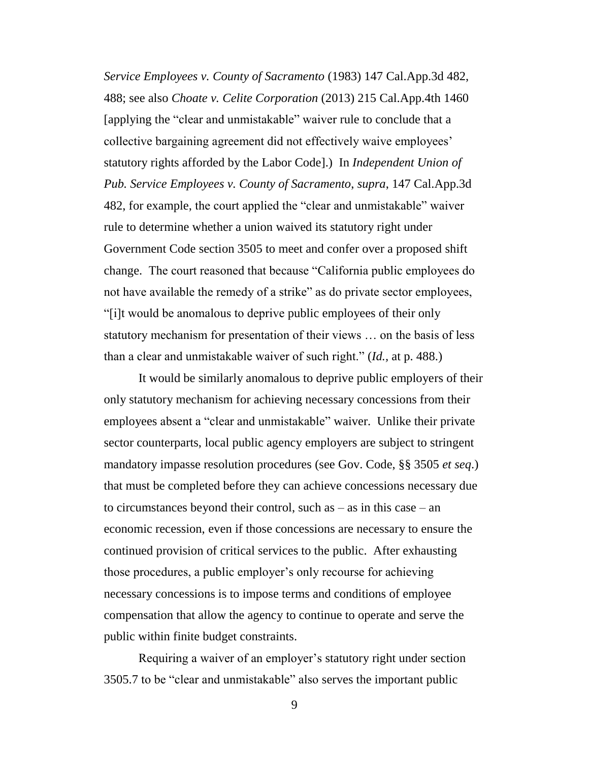*Service Employees v. County of Sacramento* (1983) 147 Cal.App.3d 482, 488; see also *Choate v. Celite Corporation* (2013) 215 Cal.App.4th 1460 [applying the "clear and unmistakable" waiver rule to conclude that a collective bargaining agreement did not effectively waive employees' statutory rights afforded by the Labor Code].) In *Independent Union of Pub. Service Employees v. County of Sacramento*, *supra*, 147 Cal.App.3d 482, for example, the court applied the "clear and unmistakable" waiver rule to determine whether a union waived its statutory right under Government Code section 3505 to meet and confer over a proposed shift change. The court reasoned that because "California public employees do not have available the remedy of a strike" as do private sector employees, "[i]t would be anomalous to deprive public employees of their only statutory mechanism for presentation of their views … on the basis of less than a clear and unmistakable waiver of such right." (*Id.,* at p. 488.)

It would be similarly anomalous to deprive public employers of their only statutory mechanism for achieving necessary concessions from their employees absent a "clear and unmistakable" waiver. Unlike their private sector counterparts, local public agency employers are subject to stringent mandatory impasse resolution procedures (see Gov. Code, §§ 3505 *et seq*.) that must be completed before they can achieve concessions necessary due to circumstances beyond their control, such as – as in this case – an economic recession, even if those concessions are necessary to ensure the continued provision of critical services to the public. After exhausting those procedures, a public employer's only recourse for achieving necessary concessions is to impose terms and conditions of employee compensation that allow the agency to continue to operate and serve the public within finite budget constraints.

Requiring a waiver of an employer's statutory right under section 3505.7 to be "clear and unmistakable" also serves the important public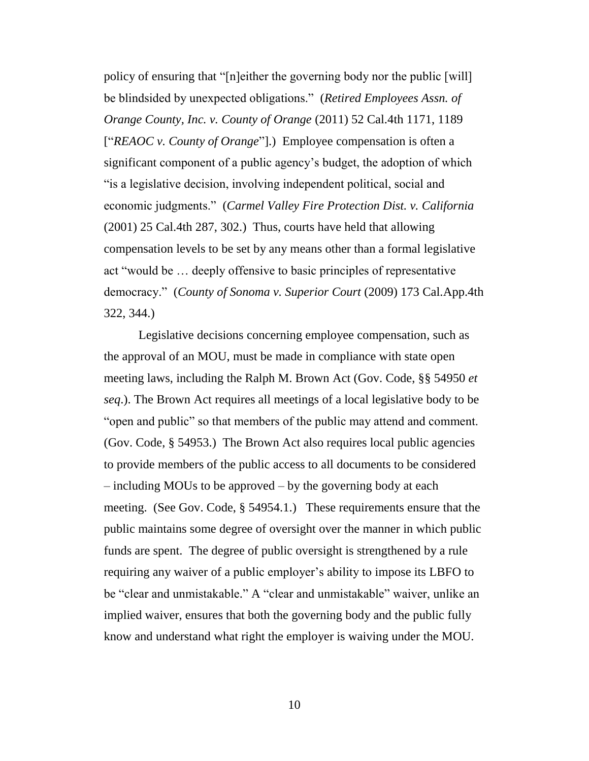policy of ensuring that "[n]either the governing body nor the public [will] be blindsided by unexpected obligations." (*Retired Employees Assn. of Orange County, Inc. v. County of Orange* (2011) 52 Cal.4th 1171, 1189 ["*REAOC v. County of Orange*"].) Employee compensation is often a significant component of a public agency's budget, the adoption of which "is a legislative decision, involving independent political, social and economic judgments." (*Carmel Valley Fire Protection Dist. v. California* (2001) 25 Cal.4th 287, 302.) Thus, courts have held that allowing compensation levels to be set by any means other than a formal legislative act "would be … deeply offensive to basic principles of representative democracy." (*County of Sonoma v. Superior Court* (2009) 173 Cal.App.4th 322, 344.)

Legislative decisions concerning employee compensation, such as the approval of an MOU, must be made in compliance with state open meeting laws, including the Ralph M. Brown Act (Gov. Code, §§ 54950 *et seq*.). The Brown Act requires all meetings of a local legislative body to be "open and public" so that members of the public may attend and comment. (Gov. Code, § 54953.) The Brown Act also requires local public agencies to provide members of the public access to all documents to be considered – including MOUs to be approved – by the governing body at each meeting. (See Gov. Code, § 54954.1.) These requirements ensure that the public maintains some degree of oversight over the manner in which public funds are spent. The degree of public oversight is strengthened by a rule requiring any waiver of a public employer's ability to impose its LBFO to be "clear and unmistakable." A "clear and unmistakable" waiver, unlike an implied waiver, ensures that both the governing body and the public fully know and understand what right the employer is waiving under the MOU.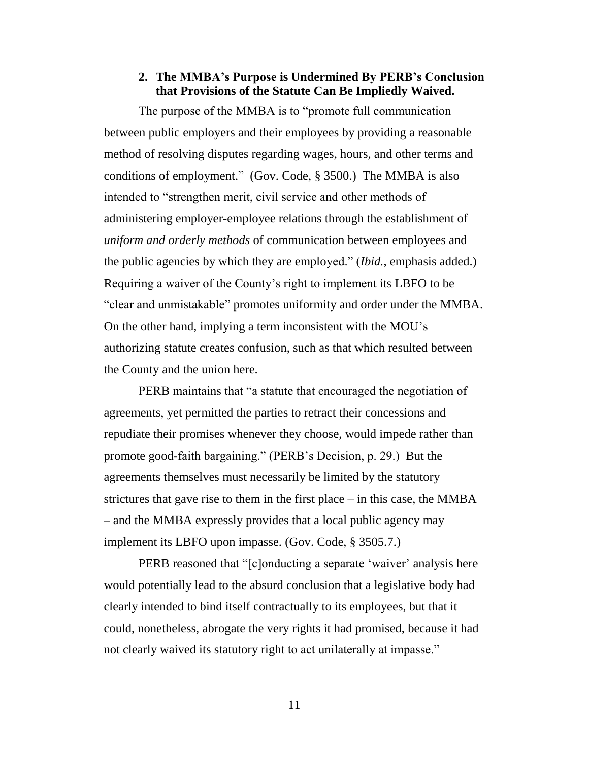### **2. The MMBA's Purpose is Undermined By PERB's Conclusion that Provisions of the Statute Can Be Impliedly Waived.**

<span id="page-10-0"></span>The purpose of the MMBA is to "promote full communication between public employers and their employees by providing a reasonable method of resolving disputes regarding wages, hours, and other terms and conditions of employment." (Gov. Code, § 3500.) The MMBA is also intended to "strengthen merit, civil service and other methods of administering employer-employee relations through the establishment of *uniform and orderly methods* of communication between employees and the public agencies by which they are employed." (*Ibid.*, emphasis added.) Requiring a waiver of the County's right to implement its LBFO to be "clear and unmistakable" promotes uniformity and order under the MMBA. On the other hand, implying a term inconsistent with the MOU's authorizing statute creates confusion, such as that which resulted between the County and the union here.

PERB maintains that "a statute that encouraged the negotiation of agreements, yet permitted the parties to retract their concessions and repudiate their promises whenever they choose, would impede rather than promote good-faith bargaining." (PERB's Decision, p. 29.) But the agreements themselves must necessarily be limited by the statutory strictures that gave rise to them in the first place – in this case, the MMBA – and the MMBA expressly provides that a local public agency may implement its LBFO upon impasse. (Gov. Code, § 3505.7.)

PERB reasoned that "[c]onducting a separate 'waiver' analysis here would potentially lead to the absurd conclusion that a legislative body had clearly intended to bind itself contractually to its employees, but that it could, nonetheless, abrogate the very rights it had promised, because it had not clearly waived its statutory right to act unilaterally at impasse."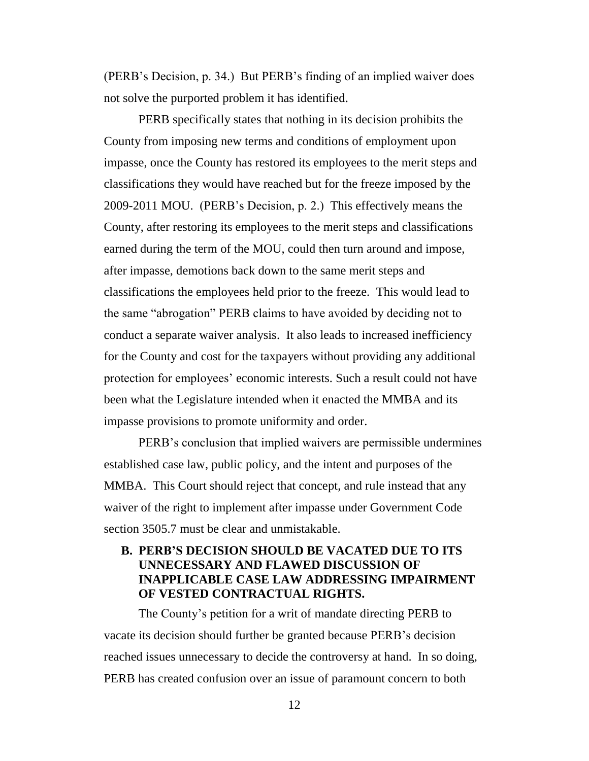(PERB's Decision, p. 34.) But PERB's finding of an implied waiver does not solve the purported problem it has identified.

PERB specifically states that nothing in its decision prohibits the County from imposing new terms and conditions of employment upon impasse, once the County has restored its employees to the merit steps and classifications they would have reached but for the freeze imposed by the 2009-2011 MOU. (PERB's Decision, p. 2.) This effectively means the County, after restoring its employees to the merit steps and classifications earned during the term of the MOU, could then turn around and impose, after impasse, demotions back down to the same merit steps and classifications the employees held prior to the freeze. This would lead to the same "abrogation" PERB claims to have avoided by deciding not to conduct a separate waiver analysis. It also leads to increased inefficiency for the County and cost for the taxpayers without providing any additional protection for employees' economic interests. Such a result could not have been what the Legislature intended when it enacted the MMBA and its impasse provisions to promote uniformity and order.

PERB's conclusion that implied waivers are permissible undermines established case law, public policy, and the intent and purposes of the MMBA. This Court should reject that concept, and rule instead that any waiver of the right to implement after impasse under Government Code section 3505.7 must be clear and unmistakable.

## <span id="page-11-0"></span>**B. PERB'S DECISION SHOULD BE VACATED DUE TO ITS UNNECESSARY AND FLAWED DISCUSSION OF INAPPLICABLE CASE LAW ADDRESSING IMPAIRMENT OF VESTED CONTRACTUAL RIGHTS.**

The County's petition for a writ of mandate directing PERB to vacate its decision should further be granted because PERB's decision reached issues unnecessary to decide the controversy at hand. In so doing, PERB has created confusion over an issue of paramount concern to both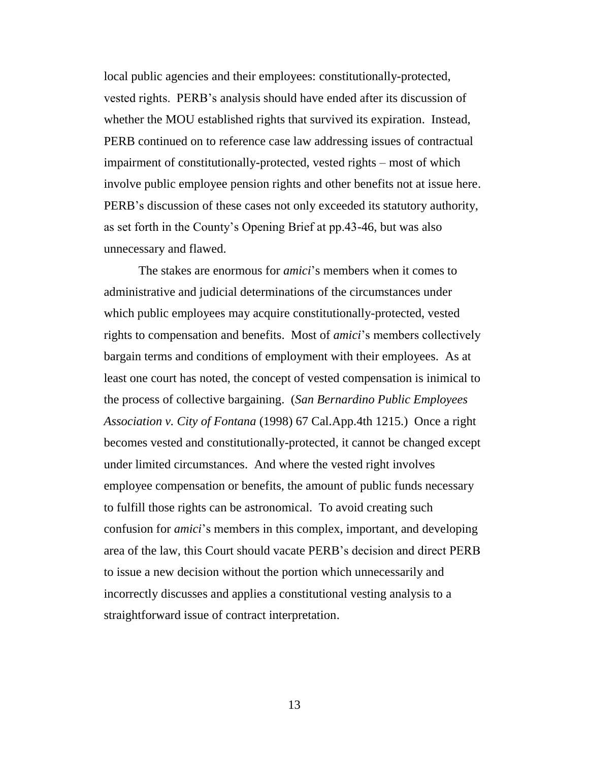local public agencies and their employees: constitutionally-protected, vested rights. PERB's analysis should have ended after its discussion of whether the MOU established rights that survived its expiration. Instead, PERB continued on to reference case law addressing issues of contractual impairment of constitutionally-protected, vested rights – most of which involve public employee pension rights and other benefits not at issue here. PERB's discussion of these cases not only exceeded its statutory authority, as set forth in the County's Opening Brief at pp.43-46, but was also unnecessary and flawed.

The stakes are enormous for *amici*'s members when it comes to administrative and judicial determinations of the circumstances under which public employees may acquire constitutionally-protected, vested rights to compensation and benefits. Most of *amici*'s members collectively bargain terms and conditions of employment with their employees. As at least one court has noted, the concept of vested compensation is inimical to the process of collective bargaining. (*San Bernardino Public Employees Association v. City of Fontana* (1998) 67 Cal.App.4th 1215.) Once a right becomes vested and constitutionally-protected, it cannot be changed except under limited circumstances. And where the vested right involves employee compensation or benefits, the amount of public funds necessary to fulfill those rights can be astronomical. To avoid creating such confusion for *amici*'s members in this complex, important, and developing area of the law, this Court should vacate PERB's decision and direct PERB to issue a new decision without the portion which unnecessarily and incorrectly discusses and applies a constitutional vesting analysis to a straightforward issue of contract interpretation.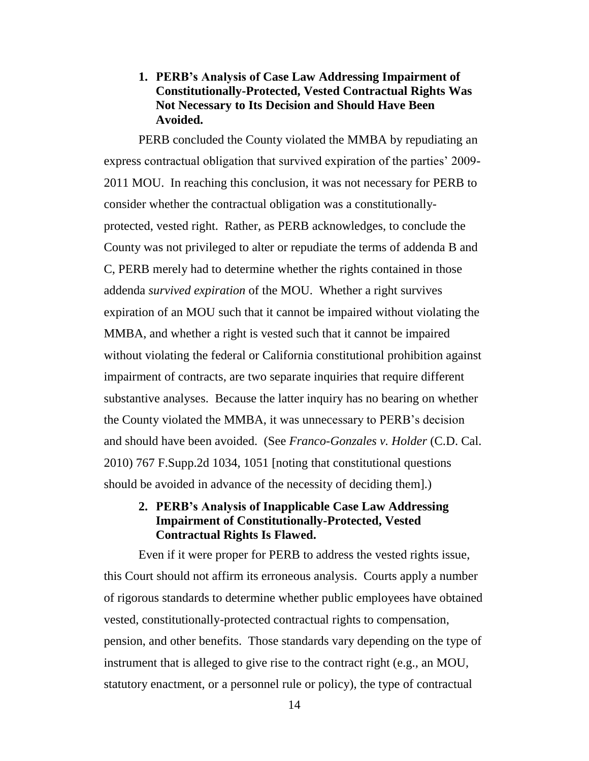### <span id="page-13-0"></span>**1. PERB's Analysis of Case Law Addressing Impairment of Constitutionally-Protected, Vested Contractual Rights Was Not Necessary to Its Decision and Should Have Been Avoided.**

PERB concluded the County violated the MMBA by repudiating an express contractual obligation that survived expiration of the parties' 2009- 2011 MOU. In reaching this conclusion, it was not necessary for PERB to consider whether the contractual obligation was a constitutionallyprotected, vested right. Rather, as PERB acknowledges, to conclude the County was not privileged to alter or repudiate the terms of addenda B and C, PERB merely had to determine whether the rights contained in those addenda *survived expiration* of the MOU. Whether a right survives expiration of an MOU such that it cannot be impaired without violating the MMBA, and whether a right is vested such that it cannot be impaired without violating the federal or California constitutional prohibition against impairment of contracts, are two separate inquiries that require different substantive analyses. Because the latter inquiry has no bearing on whether the County violated the MMBA, it was unnecessary to PERB's decision and should have been avoided. (See *Franco-Gonzales v. Holder* (C.D. Cal. 2010) 767 F.Supp.2d 1034, 1051 [noting that constitutional questions should be avoided in advance of the necessity of deciding them].)

### <span id="page-13-1"></span>**2. PERB's Analysis of Inapplicable Case Law Addressing Impairment of Constitutionally-Protected, Vested Contractual Rights Is Flawed.**

Even if it were proper for PERB to address the vested rights issue, this Court should not affirm its erroneous analysis. Courts apply a number of rigorous standards to determine whether public employees have obtained vested, constitutionally-protected contractual rights to compensation, pension, and other benefits. Those standards vary depending on the type of instrument that is alleged to give rise to the contract right (e.g., an MOU, statutory enactment, or a personnel rule or policy), the type of contractual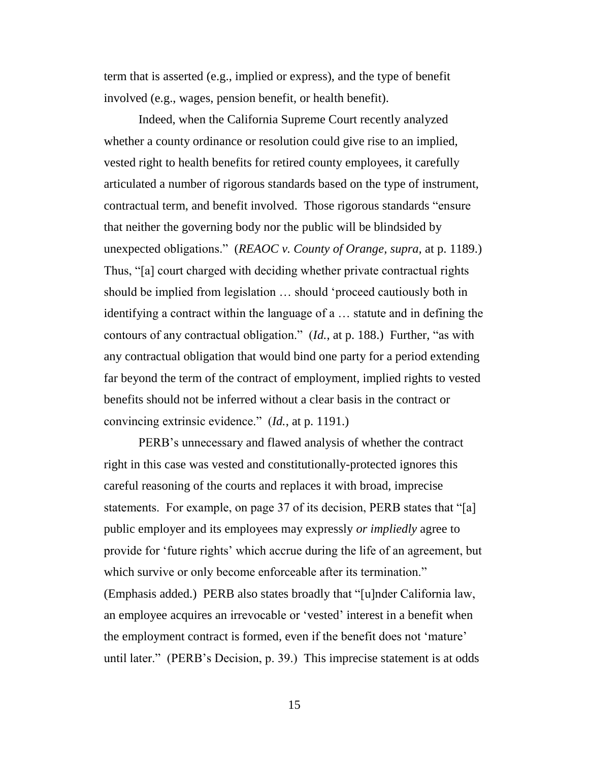term that is asserted (e.g., implied or express), and the type of benefit involved (e.g., wages, pension benefit, or health benefit).

Indeed, when the California Supreme Court recently analyzed whether a county ordinance or resolution could give rise to an implied, vested right to health benefits for retired county employees, it carefully articulated a number of rigorous standards based on the type of instrument, contractual term, and benefit involved. Those rigorous standards "ensure that neither the governing body nor the public will be blindsided by unexpected obligations." (*REAOC v. County of Orange, supra,* at p. 1189.) Thus, "[a] court charged with deciding whether private contractual rights should be implied from legislation … should 'proceed cautiously both in identifying a contract within the language of a … statute and in defining the contours of any contractual obligation." (*Id.*, at p. 188.) Further, "as with any contractual obligation that would bind one party for a period extending far beyond the term of the contract of employment, implied rights to vested benefits should not be inferred without a clear basis in the contract or convincing extrinsic evidence." (*Id.*, at p. 1191.)

PERB's unnecessary and flawed analysis of whether the contract right in this case was vested and constitutionally-protected ignores this careful reasoning of the courts and replaces it with broad, imprecise statements. For example, on page 37 of its decision, PERB states that "[a] public employer and its employees may expressly *or impliedly* agree to provide for 'future rights' which accrue during the life of an agreement, but which survive or only become enforceable after its termination." (Emphasis added.) PERB also states broadly that "[u]nder California law, an employee acquires an irrevocable or 'vested' interest in a benefit when the employment contract is formed, even if the benefit does not 'mature' until later." (PERB's Decision, p. 39.) This imprecise statement is at odds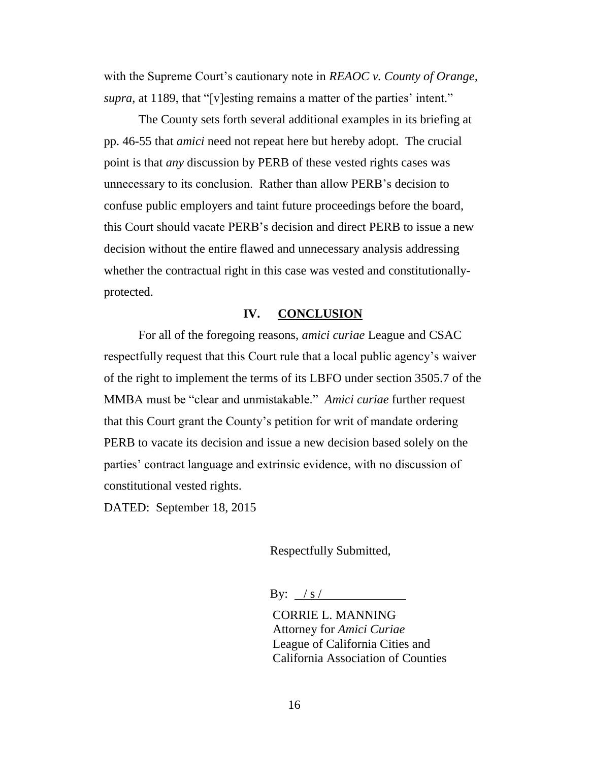with the Supreme Court's cautionary note in *REAOC v. County of Orange, supra*, at 1189, that "[v]esting remains a matter of the parties' intent."

The County sets forth several additional examples in its briefing at pp. 46-55 that *amici* need not repeat here but hereby adopt. The crucial point is that *any* discussion by PERB of these vested rights cases was unnecessary to its conclusion. Rather than allow PERB's decision to confuse public employers and taint future proceedings before the board, this Court should vacate PERB's decision and direct PERB to issue a new decision without the entire flawed and unnecessary analysis addressing whether the contractual right in this case was vested and constitutionallyprotected.

#### **IV. CONCLUSION**

<span id="page-15-0"></span>For all of the foregoing reasons, *amici curiae* League and CSAC respectfully request that this Court rule that a local public agency's waiver of the right to implement the terms of its LBFO under section 3505.7 of the MMBA must be "clear and unmistakable." *Amici curiae* further request that this Court grant the County's petition for writ of mandate ordering PERB to vacate its decision and issue a new decision based solely on the parties' contract language and extrinsic evidence, with no discussion of constitutional vested rights.

DATED: September 18, 2015

Respectfully Submitted,

By:  $/s / s$ 

CORRIE L. MANNING Attorney for *Amici Curiae* League of California Cities and California Association of Counties